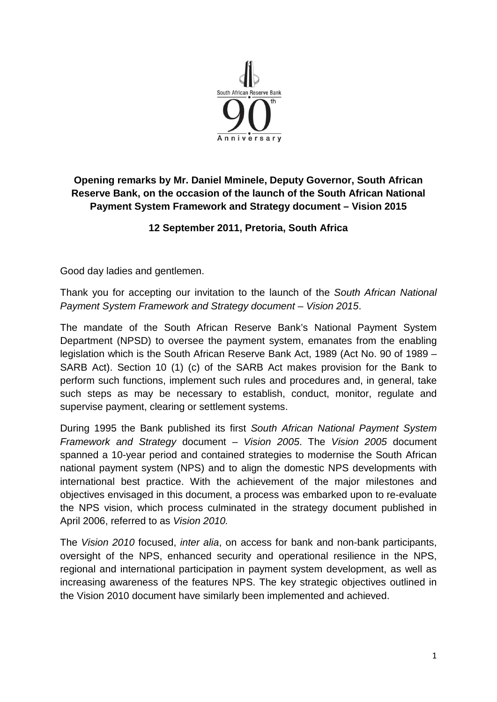

## **Opening remarks by Mr. Daniel Mminele, Deputy Governor, South African Reserve Bank, on the occasion of the launch of the South African National Payment System Framework and Strategy document – Vision 2015**

## **12 September 2011, Pretoria, South Africa**

Good day ladies and gentlemen.

Thank you for accepting our invitation to the launch of the *South African National Payment System Framework and Strategy document* – *Vision 2015*.

The mandate of the South African Reserve Bank's National Payment System Department (NPSD) to oversee the payment system, emanates from the enabling legislation which is the South African Reserve Bank Act, 1989 (Act No. 90 of 1989 – SARB Act). Section 10 (1) (c) of the SARB Act makes provision for the Bank to perform such functions, implement such rules and procedures and, in general, take such steps as may be necessary to establish, conduct, monitor, regulate and supervise payment, clearing or settlement systems.

During 1995 the Bank published its first *South African National Payment System Framework and Strategy* document – *Vision 2005*. The *Vision 2005* document spanned a 10-year period and contained strategies to modernise the South African national payment system (NPS) and to align the domestic NPS developments with international best practice. With the achievement of the major milestones and objectives envisaged in this document, a process was embarked upon to re-evaluate the NPS vision, which process culminated in the strategy document published in April 2006, referred to as *Vision 2010.* 

The *Vision 2010* focused, *inter alia*, on access for bank and non-bank participants, oversight of the NPS, enhanced security and operational resilience in the NPS, regional and international participation in payment system development, as well as increasing awareness of the features NPS. The key strategic objectives outlined in the Vision 2010 document have similarly been implemented and achieved.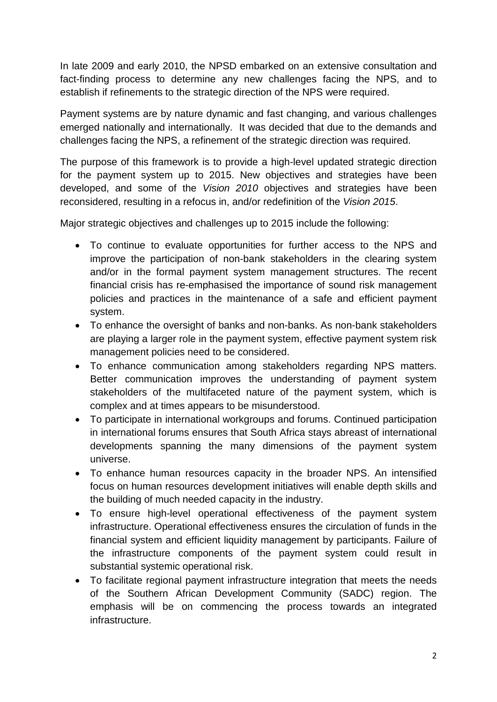In late 2009 and early 2010, the NPSD embarked on an extensive consultation and fact-finding process to determine any new challenges facing the NPS, and to establish if refinements to the strategic direction of the NPS were required.

Payment systems are by nature dynamic and fast changing, and various challenges emerged nationally and internationally. It was decided that due to the demands and challenges facing the NPS, a refinement of the strategic direction was required.

The purpose of this framework is to provide a high-level updated strategic direction for the payment system up to 2015. New objectives and strategies have been developed, and some of the *Vision 2010* objectives and strategies have been reconsidered, resulting in a refocus in, and/or redefinition of the *Vision 2015*.

Major strategic objectives and challenges up to 2015 include the following:

- To continue to evaluate opportunities for further access to the NPS and improve the participation of non-bank stakeholders in the clearing system and/or in the formal payment system management structures. The recent financial crisis has re-emphasised the importance of sound risk management policies and practices in the maintenance of a safe and efficient payment system.
- To enhance the oversight of banks and non-banks. As non-bank stakeholders are playing a larger role in the payment system, effective payment system risk management policies need to be considered.
- To enhance communication among stakeholders regarding NPS matters. Better communication improves the understanding of payment system stakeholders of the multifaceted nature of the payment system, which is complex and at times appears to be misunderstood.
- To participate in international workgroups and forums. Continued participation in international forums ensures that South Africa stays abreast of international developments spanning the many dimensions of the payment system universe.
- To enhance human resources capacity in the broader NPS. An intensified focus on human resources development initiatives will enable depth skills and the building of much needed capacity in the industry.
- To ensure high-level operational effectiveness of the payment system infrastructure. Operational effectiveness ensures the circulation of funds in the financial system and efficient liquidity management by participants. Failure of the infrastructure components of the payment system could result in substantial systemic operational risk.
- To facilitate regional payment infrastructure integration that meets the needs of the Southern African Development Community (SADC) region. The emphasis will be on commencing the process towards an integrated infrastructure.